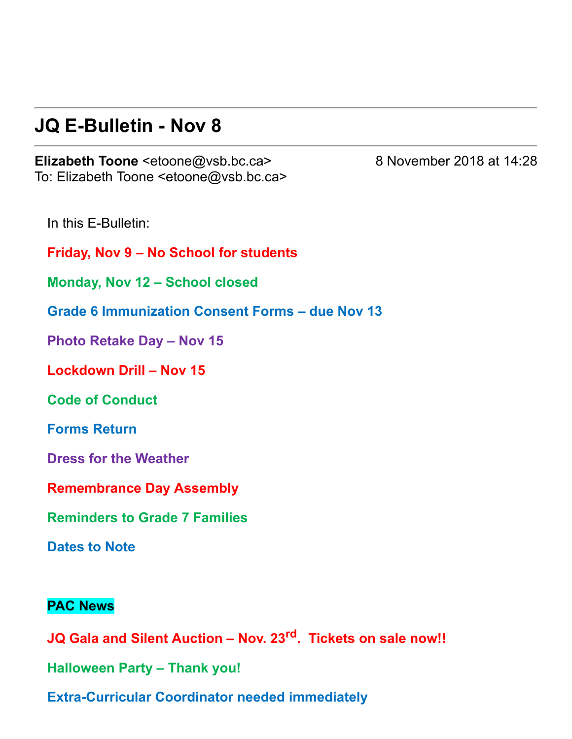#### **JQ E-Bulletin - Nov 8**

**Elizabeth Toone** <etoone@vsb.bc.ca> 8 November 2018 at 14:28 To: Elizabeth Toone <etoone@vsb.bc.ca>

In this E-Bulletin:

**Friday, Nov 9 – No School for students**

**Monday, Nov 12 – School closed**

**Grade 6 Immunization Consent Forms – due Nov 13**

**Photo Retake Day – Nov 15**

**Lockdown Drill – Nov 15**

**Code of Conduct**

**Forms Return**

**Dress for the Weather**

**Remembrance Day Assembly**

**Reminders to Grade 7 Families**

**Dates to Note**

#### **PAC News**

**JQ Gala and Silent Auction – Nov. 23rd . Tickets on sale now!! Halloween Party – Thank you! Extra-Curricular Coordinator needed immediately**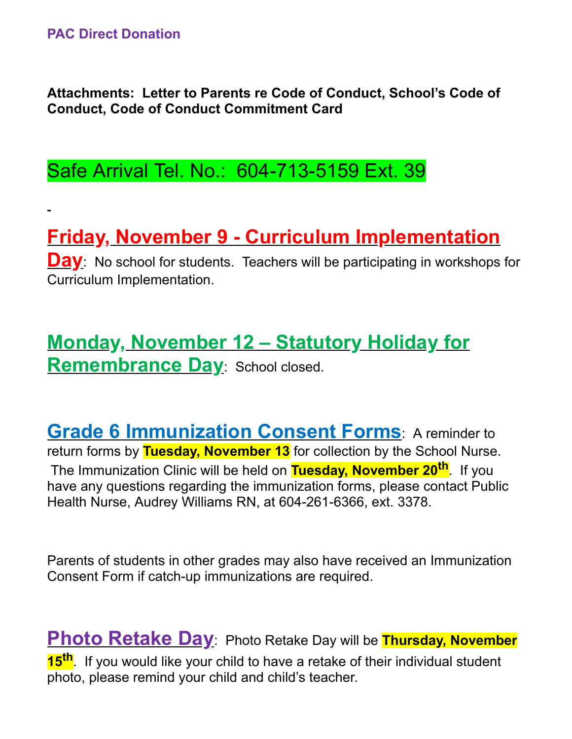**Attachments: Letter to Parents re Code of Conduct, School's Code of Conduct, Code of Conduct Commitment Card**

Safe Arrival Tel. No.: 604-713-5159 Ext. 39

# **Friday, November 9 Curriculum Implementation**

**Day**: No school for students. Teachers will be participating in workshops for Curriculum Implementation.

## **Monday, November 12 – Statutory Holiday for Remembrance Day**: School closed.

**Grade 6 Immunization Consent Forms**: A reminder to return forms by **Tuesday, November 13** for collection by the School Nurse. The Immunization Clinic will be held on **Tuesday, November 20th** . If you have any questions regarding the immunization forms, please contact Public Health Nurse, Audrey Williams RN, at 604-261-6366, ext. 3378.

Parents of students in other grades may also have received an Immunization Consent Form if catch-up immunizations are required.

**Photo Retake Day**: Photo Retake Day will be **Thursday, November 15th** . If you would like your child to have a retake of their individual student photo, please remind your child and child's teacher.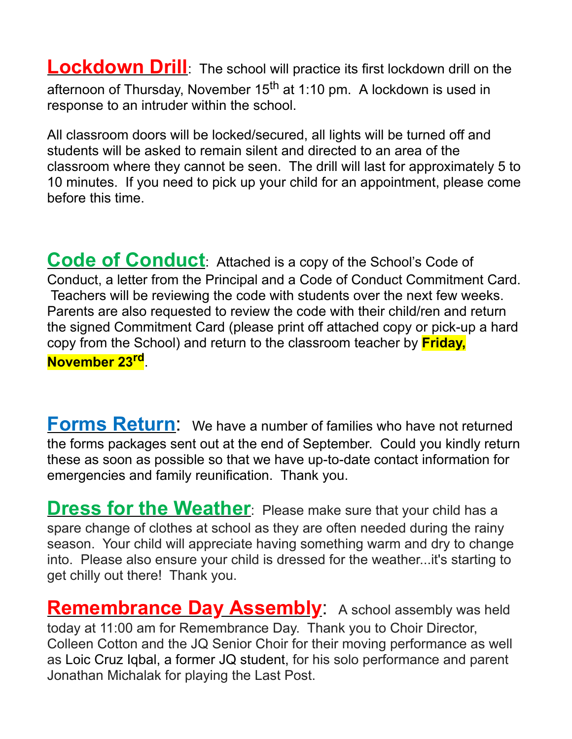**Lockdown Drill**: The school will practice its first lockdown drill on the afternoon of Thursday, November 15<sup>th</sup> at 1:10 pm. A lockdown is used in response to an intruder within the school.

All classroom doors will be locked/secured, all lights will be turned off and students will be asked to remain silent and directed to an area of the classroom where they cannot be seen. The drill will last for approximately 5 to 10 minutes. If you need to pick up your child for an appointment, please come before this time.

**Code of Conduct**: Attached is a copy of the School's Code of Conduct, a letter from the Principal and a Code of Conduct Commitment Card. Teachers will be reviewing the code with students over the next few weeks. Parents are also requested to review the code with their child/ren and return the signed Commitment Card (please print off attached copy or pick-up a hard copy from the School) and return to the classroom teacher by **Friday, November 23rd** .

**Forms Return**: We have a number of families who have not returned the forms packages sent out at the end of September. Could you kindly return these as soon as possible so that we have up-to-date contact information for emergencies and family reunification. Thank you.

**Dress for the Weather**: Please make sure that your child has a spare change of clothes at school as they are often needed during the rainy season. Your child will appreciate having something warm and dry to change into. Please also ensure your child is dressed for the weather...it's starting to get chilly out there! Thank you.

**Remembrance Day Assembly**: A school assembly was held today at 11:00 am for Remembrance Day. Thank you to Choir Director, Colleen Cotton and the JQ Senior Choir for their moving performance as well as Loic Cruz Iqbal, a former JQ student, for his solo performance and parent Jonathan Michalak for playing the Last Post.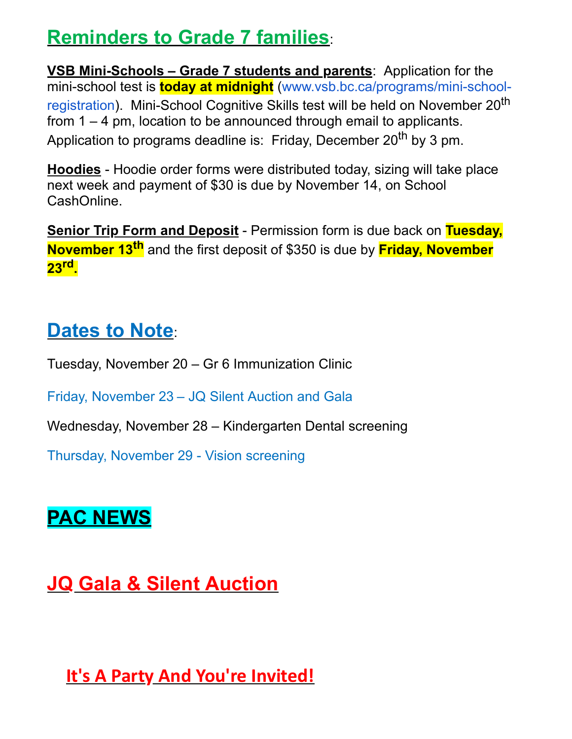## **Reminders to Grade 7 families**:

**<u>VSB Mini-Schools – Grade 7 students and parents</u>: Application for the** mini-school test is **today at midnight** (www.vsb.bc.ca/programs/mini-schoolregistration). Mini-School Cognitive Skills test will be held on November 20<sup>th</sup> from 1 – 4 pm, location to be announced through email to applicants. Application to programs deadline is: Friday, December 20<sup>th</sup> by 3 pm.

**Hoodies** - Hoodie order forms were distributed today, sizing will take place next week and payment of \$30 is due by November 14, on School CashOnline.

**<u>Senior Trip Form and Deposit</u>** - Permission form is due back on Tuesday, **November 13th** and the first deposit of \$350 is due by **Friday, November 23rd .**

## **Dates to Note**:

Tuesday, November 20 – Gr 6 Immunization Clinic

Friday, November 23 – JQ Silent Auction and Gala

Wednesday, November 28 – Kindergarten Dental screening

Thursday, November 29 - Vision screening

# **PAC NEWS**

# **JQ Gala & Silent Auction**

**It's A Party And You're Invited!**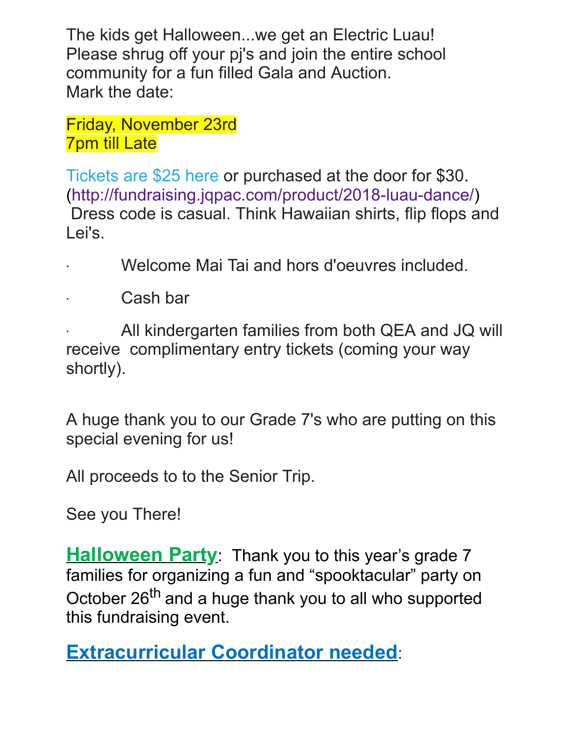The kids get Halloween...we get an Electric Luau! Please shrug off your pj's and join the entire school community for a fun filled Gala and Auction. Mark the date:

Friday, November 23rd 7pm till Late

[Tickets are \\$25 here](https://julesquesnelpac.us3.list-manage.com/track/click?u=a8e7c9494cc165c2c2cca7d75&id=cbd59f0a96&e=afa53965a6) or purchased at the door for \$30. (http://fundraising.jqpac.com/product/2018-luau-dance/) Dress code is casual. Think Hawaiian shirts, flip flops and Lei's.

- · Welcome Mai Tai and hors d'oeuvres included.
- · Cash bar

All kindergarten families from both QEA and JQ will receive complimentary entry tickets (coming your way shortly).

A huge thank you to our Grade 7's who are putting on this special evening for us!

All proceeds to to the Senior Trip.

See you There!

**Halloween Party**: Thank you to this year's grade 7 families for organizing a fun and "spooktacular" party on October 26<sup>th</sup> and a huge thank you to all who supported this fundraising event.

**Extracurricular Coordinator needed**: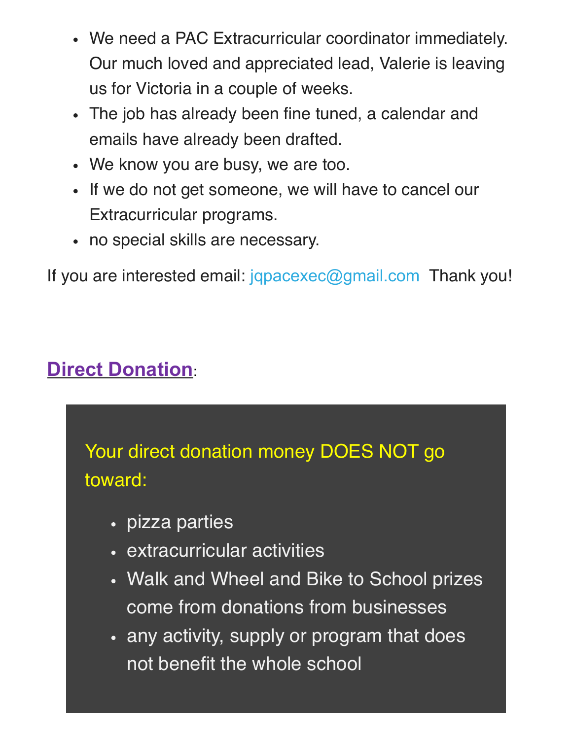- We need a PAC Extracurricular coordinator immediately. Our much loved and appreciated lead, Valerie is leaving us for Victoria in a couple of weeks.
- The job has already been fine tuned, a calendar and emails have already been drafted.
- We know you are busy, we are too.
- If we do not get someone, we will have to cancel our Extracurricular programs.
- no special skills are necessary.

If you are interested email: [jqpacexec@gmail.com](https://julesquesnelpac.us3.list-manage.com/track/click?u=a8e7c9494cc165c2c2cca7d75&id=e711ef10b2&e=afa53965a6) Thank you!

# **Direct Donation**:

Your direct donation money DOES NOT go toward:

- pizza parties
- extracurricular activities
- Walk and Wheel and Bike to School prizes come from donations from businesses
- any activity, supply or program that does not benefit the whole school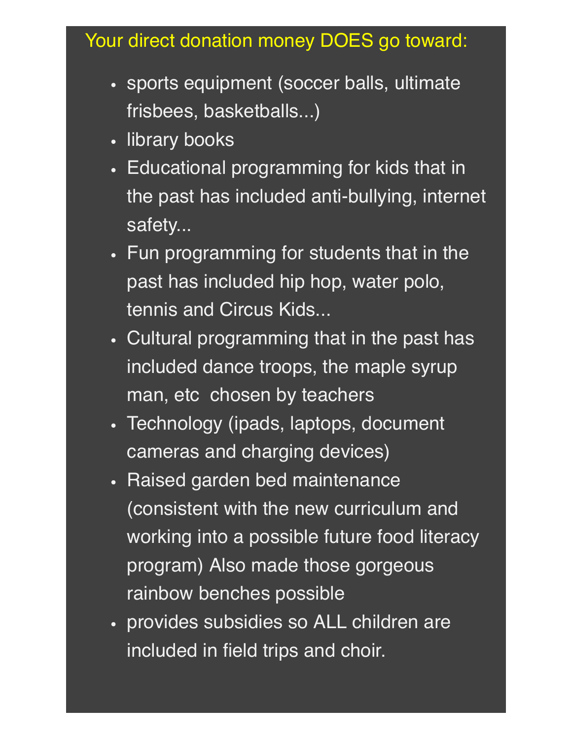## Your direct donation money DOES go toward:

- sports equipment (soccer balls, ultimate frisbees, basketballs...)
- library books
- Educational programming for kids that in the past has included anti-bullying, internet safety...
- Fun programming for students that in the past has included hip hop, water polo, tennis and Circus Kids...
- Cultural programming that in the past has included dance troops, the maple syrup man, etc chosen by teachers
- Technology (ipads, laptops, document cameras and charging devices)
- Raised garden bed maintenance (consistent with the new curriculum and working into a possible future food literacy program) Also made those gorgeous rainbow benches possible
- provides subsidies so ALL children are included in field trips and choir.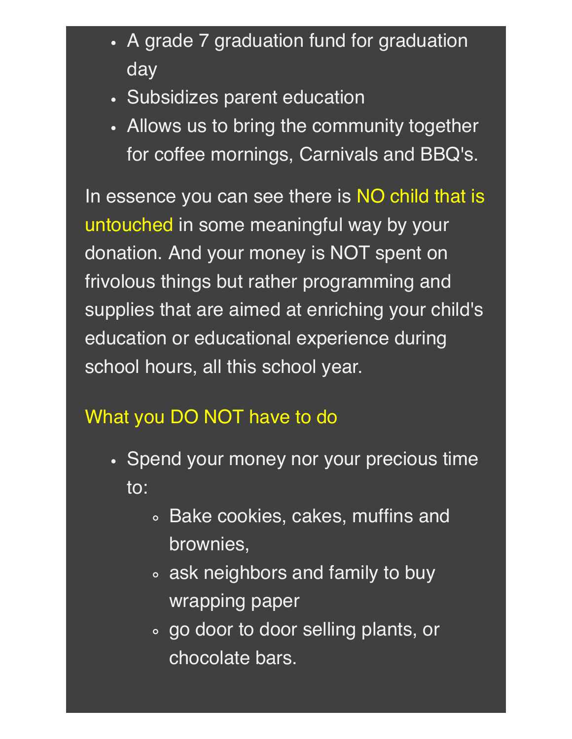- A grade 7 graduation fund for graduation day
- Subsidizes parent education
- Allows us to bring the community together for coffee mornings, Carnivals and BBQ's.

In essence you can see there is NO child that is untouched in some meaningful way by your donation. And your money is NOT spent on frivolous things but rather programming and supplies that are aimed at enriching your child's education or educational experience during school hours, all this school year.

#### What you DO NOT have to do

- Spend your money nor your precious time to:
	- Bake cookies, cakes, muffins and brownies,
	- ask neighbors and family to buy wrapping paper
	- go door to door selling plants, or chocolate bars.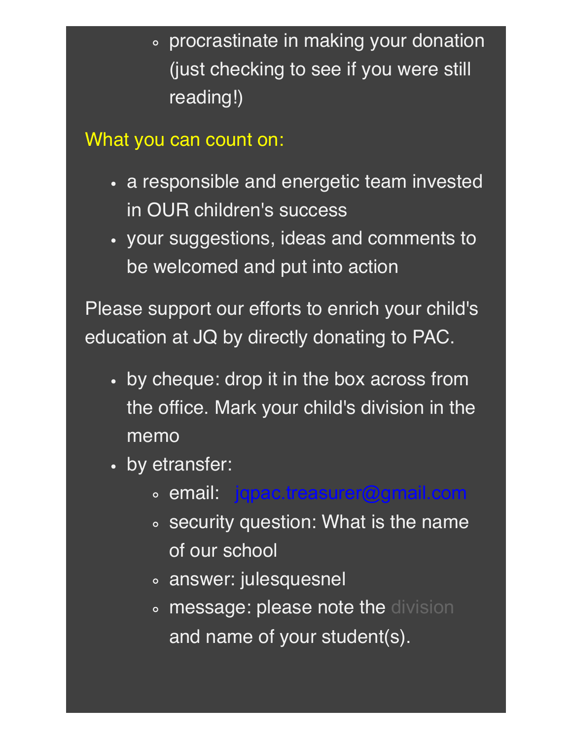procrastinate in making your donation (just checking to see if you were still reading!)

What you can count on:

- a responsible and energetic team invested in OUR children's success
- your suggestions, ideas and comments to be welcomed and put into action

Please support our efforts to enrich your child's education at JQ by directly donating to PAC.

- by cheque: drop it in the box across from the office. Mark your child's division in the memo
- by etransfer:
	- email: [jqpac.treasurer@gmail.com](mailto:jqpac.treasurer@gmail.com)
	- security question: What is the name of our school
	- answer: julesquesnel
	- **o message: please note the [division](https://julesquesnelpac.us3.list-manage.com/track/click?u=a8e7c9494cc165c2c2cca7d75&id=fc43d1b83f&e=afa53965a6)** and name of your student(s).